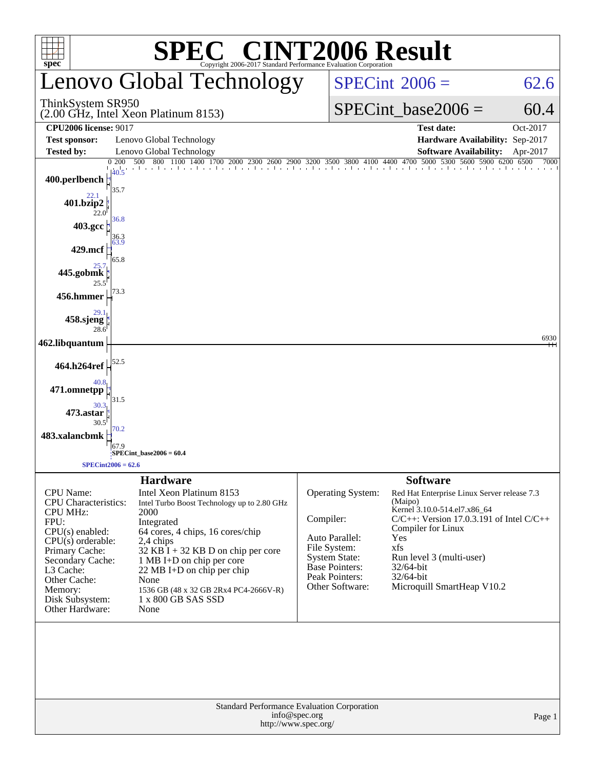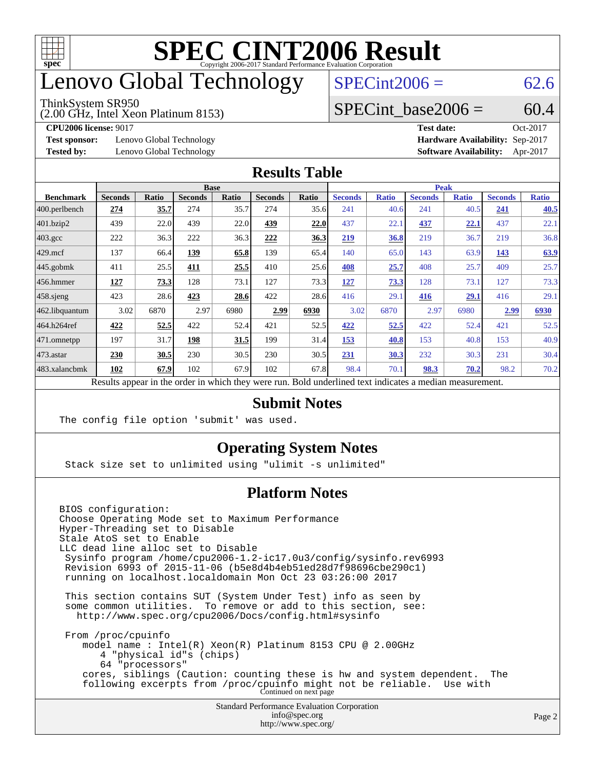

### enovo Global Technology

#### ThinkSystem SR950

(2.00 GHz, Intel Xeon Platinum 8153)

 $SPECint2006 = 62.6$  $SPECint2006 = 62.6$ 

#### SPECint base2006 =  $60.4$

**[Test sponsor:](http://www.spec.org/auto/cpu2006/Docs/result-fields.html#Testsponsor)** Lenovo Global Technology **[Hardware Availability:](http://www.spec.org/auto/cpu2006/Docs/result-fields.html#HardwareAvailability)** Sep-2017

**[CPU2006 license:](http://www.spec.org/auto/cpu2006/Docs/result-fields.html#CPU2006license)** 9017 **[Test date:](http://www.spec.org/auto/cpu2006/Docs/result-fields.html#Testdate)** Oct-2017 **[Tested by:](http://www.spec.org/auto/cpu2006/Docs/result-fields.html#Testedby)** Lenovo Global Technology **[Software Availability:](http://www.spec.org/auto/cpu2006/Docs/result-fields.html#SoftwareAvailability)** Apr-2017

#### **[Results Table](http://www.spec.org/auto/cpu2006/Docs/result-fields.html#ResultsTable)**

|                                                                                                          | <b>Base</b>    |              |                |       |                |       | <b>Peak</b>    |              |                |              |                |              |
|----------------------------------------------------------------------------------------------------------|----------------|--------------|----------------|-------|----------------|-------|----------------|--------------|----------------|--------------|----------------|--------------|
| <b>Benchmark</b>                                                                                         | <b>Seconds</b> | <b>Ratio</b> | <b>Seconds</b> | Ratio | <b>Seconds</b> | Ratio | <b>Seconds</b> | <b>Ratio</b> | <b>Seconds</b> | <b>Ratio</b> | <b>Seconds</b> | <b>Ratio</b> |
| 400.perlbench                                                                                            | 274            | 35.7         | 274            | 35.7  | 274            | 35.6  | 241            | 40.6         | 241            | 40.5         | 241            | 40.5         |
| 401.bzip2                                                                                                | 439            | 22.0         | 439            | 22.0  | <u>439</u>     | 22.0  | 437            | 22.1         | 437            | 22.1         | 437            | 22.1         |
| $403.\mathrm{gcc}$                                                                                       | 222            | 36.3         | 222            | 36.3  | 222            | 36.3  | 219            | 36.8         | 219            | 36.7         | 219            | 36.8         |
| $429$ mcf                                                                                                | 137            | 66.4         | 139            | 65.8  | 139            | 65.4  | 140            | 65.0         | 143            | 63.9         | 143            | 63.9         |
| $445$ .gobmk                                                                                             | 411            | 25.5         | 411            | 25.5  | 410            | 25.6  | 408            | 25.7         | 408            | 25.7         | 409            | 25.7         |
| 456.hmmer                                                                                                | 127            | 73.3         | 128            | 73.1  | 127            | 73.3  | 127            | 73.3         | 128            | 73.1         | 127            | 73.3         |
| $458$ .sjeng                                                                                             | 423            | 28.6         | 423            | 28.6  | 422            | 28.6  | 416            | 29.1         | 416            | 29.1         | 416            | 29.1         |
| 462.libquantum                                                                                           | 3.02           | 6870         | 2.97           | 6980  | 2.99           | 6930  | 3.02           | 6870         | 2.97           | 6980         | 2.99           | 6930         |
| 464.h264ref                                                                                              | 422            | 52.5         | 422            | 52.4  | 421            | 52.5  | 422            | 52.5         | 422            | 52.4         | 421            | 52.5         |
| 471.omnetpp                                                                                              | 197            | 31.7         | 198            | 31.5  | 199            | 31.4  | 153            | 40.8         | 153            | 40.8         | 153            | 40.9         |
| $473$ . astar                                                                                            | 230            | 30.5         | 230            | 30.5  | 230            | 30.5  | 231            | 30.3         | 232            | 30.3         | 231            | 30.4         |
| 483.xalancbmk                                                                                            | 102            | 67.9         | 102            | 67.9  | 102            | 67.8  | 98.4           | 70.1         | 98.3           | 70.2         | 98.2           | 70.2         |
| Results appear in the order in which they were run. Bold underlined text indicates a median measurement. |                |              |                |       |                |       |                |              |                |              |                |              |

#### **[Submit Notes](http://www.spec.org/auto/cpu2006/Docs/result-fields.html#SubmitNotes)**

The config file option 'submit' was used.

#### **[Operating System Notes](http://www.spec.org/auto/cpu2006/Docs/result-fields.html#OperatingSystemNotes)**

Stack size set to unlimited using "ulimit -s unlimited"

#### **[Platform Notes](http://www.spec.org/auto/cpu2006/Docs/result-fields.html#PlatformNotes)**

Standard Performance Evaluation Corporation [info@spec.org](mailto:info@spec.org) BIOS configuration: Choose Operating Mode set to Maximum Performance Hyper-Threading set to Disable Stale AtoS set to Enable LLC dead line alloc set to Disable Sysinfo program /home/cpu2006-1.2-ic17.0u3/config/sysinfo.rev6993 Revision 6993 of 2015-11-06 (b5e8d4b4eb51ed28d7f98696cbe290c1) running on localhost.localdomain Mon Oct 23 03:26:00 2017 This section contains SUT (System Under Test) info as seen by some common utilities. To remove or add to this section, see: <http://www.spec.org/cpu2006/Docs/config.html#sysinfo> From /proc/cpuinfo model name : Intel(R) Xeon(R) Platinum 8153 CPU @ 2.00GHz 4 "physical id"s (chips) 64 "processors" cores, siblings (Caution: counting these is hw and system dependent. The following excerpts from /proc/cpuinfo might not be reliable. Use with Continued on next page

<http://www.spec.org/>

Page 2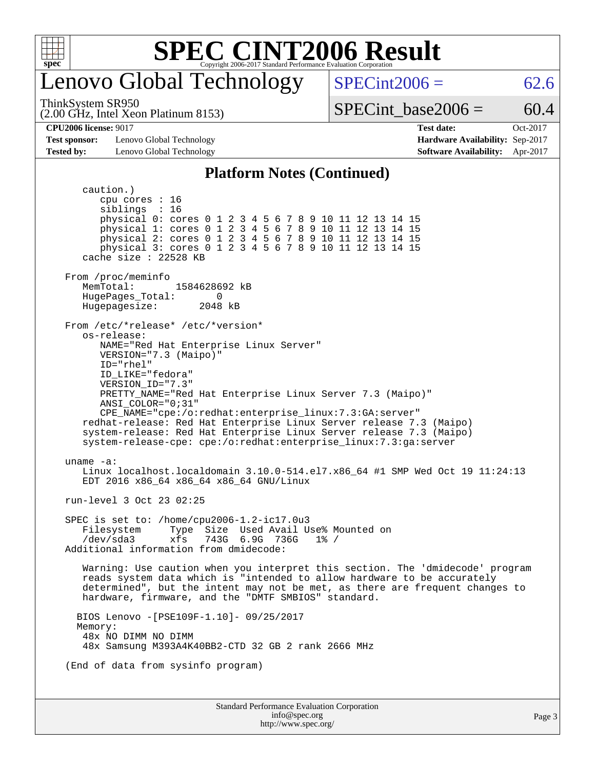

### enovo Global Technology

ThinkSystem SR950

 $SPECint2006 = 62.6$  $SPECint2006 = 62.6$ 

(2.00 GHz, Intel Xeon Platinum 8153)

SPECint base2006 =  $60.4$ 

**[Test sponsor:](http://www.spec.org/auto/cpu2006/Docs/result-fields.html#Testsponsor)** Lenovo Global Technology **[Hardware Availability:](http://www.spec.org/auto/cpu2006/Docs/result-fields.html#HardwareAvailability)** Sep-2017 **[Tested by:](http://www.spec.org/auto/cpu2006/Docs/result-fields.html#Testedby)** Lenovo Global Technology **[Software Availability:](http://www.spec.org/auto/cpu2006/Docs/result-fields.html#SoftwareAvailability)** Apr-2017

**[CPU2006 license:](http://www.spec.org/auto/cpu2006/Docs/result-fields.html#CPU2006license)** 9017 **[Test date:](http://www.spec.org/auto/cpu2006/Docs/result-fields.html#Testdate)** Oct-2017

#### **[Platform Notes \(Continued\)](http://www.spec.org/auto/cpu2006/Docs/result-fields.html#PlatformNotes)**

Standard Performance Evaluation Corporation [info@spec.org](mailto:info@spec.org) <http://www.spec.org/> caution.) cpu cores : 16 siblings : 16 physical 0: cores 0 1 2 3 4 5 6 7 8 9 10 11 12 13 14 15 physical 1: cores 0 1 2 3 4 5 6 7 8 9 10 11 12 13 14 15 physical 2: cores 0 1 2 3 4 5 6 7 8 9 10 11 12 13 14 15 physical 3: cores 0 1 2 3 4 5 6 7 8 9 10 11 12 13 14 15 cache size : 22528 KB From /proc/meminfo<br>MemTotal: 1584628692 kB HugePages\_Total: 0 Hugepagesize: 2048 kB From /etc/\*release\* /etc/\*version\* os-release: NAME="Red Hat Enterprise Linux Server" VERSION="7.3 (Maipo)" ID="rhel" ID\_LIKE="fedora" VERSION\_ID="7.3" PRETTY\_NAME="Red Hat Enterprise Linux Server 7.3 (Maipo)" ANSI\_COLOR="0;31" CPE\_NAME="cpe:/o:redhat:enterprise\_linux:7.3:GA:server" redhat-release: Red Hat Enterprise Linux Server release 7.3 (Maipo) system-release: Red Hat Enterprise Linux Server release 7.3 (Maipo) system-release-cpe: cpe:/o:redhat:enterprise\_linux:7.3:ga:server uname -a: Linux localhost.localdomain 3.10.0-514.el7.x86\_64 #1 SMP Wed Oct 19 11:24:13 EDT 2016 x86\_64 x86\_64 x86\_64 GNU/Linux run-level 3 Oct 23 02:25 SPEC is set to: /home/cpu2006-1.2-ic17.0u3 Filesystem Type Size Used Avail Use% Mounted on /dev/sda3 xfs 743G 6.9G 736G 1% / Additional information from dmidecode: Warning: Use caution when you interpret this section. The 'dmidecode' program reads system data which is "intended to allow hardware to be accurately determined", but the intent may not be met, as there are frequent changes to hardware, firmware, and the "DMTF SMBIOS" standard. BIOS Lenovo -[PSE109F-1.10]- 09/25/2017 Memory: 48x NO DIMM NO DIMM 48x Samsung M393A4K40BB2-CTD 32 GB 2 rank 2666 MHz (End of data from sysinfo program)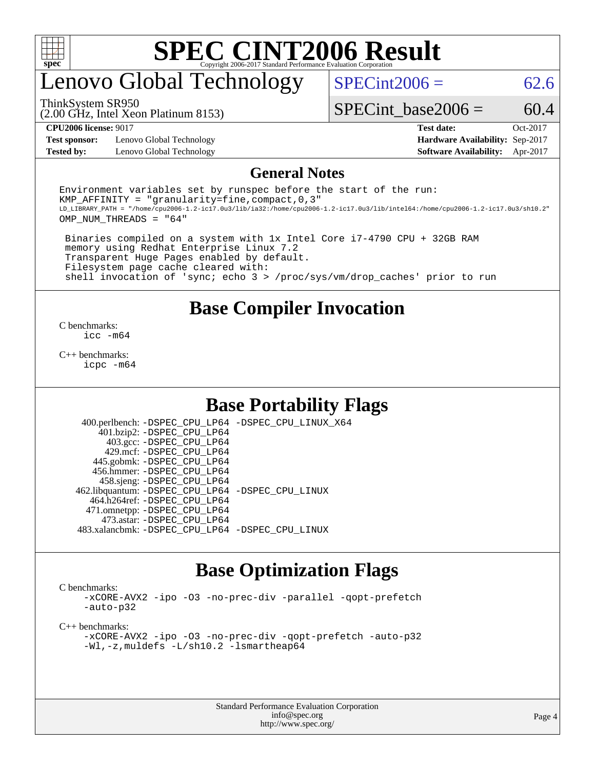

## enovo Global Technology

ThinkSystem SR950

 $SPECint2006 = 62.6$  $SPECint2006 = 62.6$ 

(2.00 GHz, Intel Xeon Platinum 8153)

SPECint base2006 =  $60.4$ 

**[Test sponsor:](http://www.spec.org/auto/cpu2006/Docs/result-fields.html#Testsponsor)** Lenovo Global Technology **[Hardware Availability:](http://www.spec.org/auto/cpu2006/Docs/result-fields.html#HardwareAvailability)** Sep-2017 **[Tested by:](http://www.spec.org/auto/cpu2006/Docs/result-fields.html#Testedby)** Lenovo Global Technology **[Software Availability:](http://www.spec.org/auto/cpu2006/Docs/result-fields.html#SoftwareAvailability)** Apr-2017

**[CPU2006 license:](http://www.spec.org/auto/cpu2006/Docs/result-fields.html#CPU2006license)** 9017 **[Test date:](http://www.spec.org/auto/cpu2006/Docs/result-fields.html#Testdate)** Oct-2017

#### **[General Notes](http://www.spec.org/auto/cpu2006/Docs/result-fields.html#GeneralNotes)**

Environment variables set by runspec before the start of the run: KMP AFFINITY = "granularity=fine, compact,  $0,3$ " LD\_LIBRARY\_PATH = "/home/cpu2006-1.2-ic17.0u3/lib/ia32:/home/cpu2006-1.2-ic17.0u3/lib/intel64:/home/cpu2006-1.2-ic17.0u3/sh10.2" OMP\_NUM\_THREADS = "64"

 Binaries compiled on a system with 1x Intel Core i7-4790 CPU + 32GB RAM memory using Redhat Enterprise Linux 7.2 Transparent Huge Pages enabled by default. Filesystem page cache cleared with: shell invocation of 'sync; echo 3 > /proc/sys/vm/drop\_caches' prior to run

#### **[Base Compiler Invocation](http://www.spec.org/auto/cpu2006/Docs/result-fields.html#BaseCompilerInvocation)**

[C benchmarks](http://www.spec.org/auto/cpu2006/Docs/result-fields.html#Cbenchmarks): [icc -m64](http://www.spec.org/cpu2006/results/res2017q4/cpu2006-20171211-51063.flags.html#user_CCbase_intel_icc_64bit_bda6cc9af1fdbb0edc3795bac97ada53)

[C++ benchmarks:](http://www.spec.org/auto/cpu2006/Docs/result-fields.html#CXXbenchmarks) [icpc -m64](http://www.spec.org/cpu2006/results/res2017q4/cpu2006-20171211-51063.flags.html#user_CXXbase_intel_icpc_64bit_fc66a5337ce925472a5c54ad6a0de310)

#### **[Base Portability Flags](http://www.spec.org/auto/cpu2006/Docs/result-fields.html#BasePortabilityFlags)**

 400.perlbench: [-DSPEC\\_CPU\\_LP64](http://www.spec.org/cpu2006/results/res2017q4/cpu2006-20171211-51063.flags.html#b400.perlbench_basePORTABILITY_DSPEC_CPU_LP64) [-DSPEC\\_CPU\\_LINUX\\_X64](http://www.spec.org/cpu2006/results/res2017q4/cpu2006-20171211-51063.flags.html#b400.perlbench_baseCPORTABILITY_DSPEC_CPU_LINUX_X64) 401.bzip2: [-DSPEC\\_CPU\\_LP64](http://www.spec.org/cpu2006/results/res2017q4/cpu2006-20171211-51063.flags.html#suite_basePORTABILITY401_bzip2_DSPEC_CPU_LP64) 403.gcc: [-DSPEC\\_CPU\\_LP64](http://www.spec.org/cpu2006/results/res2017q4/cpu2006-20171211-51063.flags.html#suite_basePORTABILITY403_gcc_DSPEC_CPU_LP64) 429.mcf: [-DSPEC\\_CPU\\_LP64](http://www.spec.org/cpu2006/results/res2017q4/cpu2006-20171211-51063.flags.html#suite_basePORTABILITY429_mcf_DSPEC_CPU_LP64) 445.gobmk: [-DSPEC\\_CPU\\_LP64](http://www.spec.org/cpu2006/results/res2017q4/cpu2006-20171211-51063.flags.html#suite_basePORTABILITY445_gobmk_DSPEC_CPU_LP64) 456.hmmer: [-DSPEC\\_CPU\\_LP64](http://www.spec.org/cpu2006/results/res2017q4/cpu2006-20171211-51063.flags.html#suite_basePORTABILITY456_hmmer_DSPEC_CPU_LP64) 458.sjeng: [-DSPEC\\_CPU\\_LP64](http://www.spec.org/cpu2006/results/res2017q4/cpu2006-20171211-51063.flags.html#suite_basePORTABILITY458_sjeng_DSPEC_CPU_LP64) 462.libquantum: [-DSPEC\\_CPU\\_LP64](http://www.spec.org/cpu2006/results/res2017q4/cpu2006-20171211-51063.flags.html#suite_basePORTABILITY462_libquantum_DSPEC_CPU_LP64) [-DSPEC\\_CPU\\_LINUX](http://www.spec.org/cpu2006/results/res2017q4/cpu2006-20171211-51063.flags.html#b462.libquantum_baseCPORTABILITY_DSPEC_CPU_LINUX) 464.h264ref: [-DSPEC\\_CPU\\_LP64](http://www.spec.org/cpu2006/results/res2017q4/cpu2006-20171211-51063.flags.html#suite_basePORTABILITY464_h264ref_DSPEC_CPU_LP64) 471.omnetpp: [-DSPEC\\_CPU\\_LP64](http://www.spec.org/cpu2006/results/res2017q4/cpu2006-20171211-51063.flags.html#suite_basePORTABILITY471_omnetpp_DSPEC_CPU_LP64) 473.astar: [-DSPEC\\_CPU\\_LP64](http://www.spec.org/cpu2006/results/res2017q4/cpu2006-20171211-51063.flags.html#suite_basePORTABILITY473_astar_DSPEC_CPU_LP64) 483.xalancbmk: [-DSPEC\\_CPU\\_LP64](http://www.spec.org/cpu2006/results/res2017q4/cpu2006-20171211-51063.flags.html#suite_basePORTABILITY483_xalancbmk_DSPEC_CPU_LP64) [-DSPEC\\_CPU\\_LINUX](http://www.spec.org/cpu2006/results/res2017q4/cpu2006-20171211-51063.flags.html#b483.xalancbmk_baseCXXPORTABILITY_DSPEC_CPU_LINUX)

#### **[Base Optimization Flags](http://www.spec.org/auto/cpu2006/Docs/result-fields.html#BaseOptimizationFlags)**

[C benchmarks](http://www.spec.org/auto/cpu2006/Docs/result-fields.html#Cbenchmarks):

[-xCORE-AVX2](http://www.spec.org/cpu2006/results/res2017q4/cpu2006-20171211-51063.flags.html#user_CCbase_f-xCORE-AVX2) [-ipo](http://www.spec.org/cpu2006/results/res2017q4/cpu2006-20171211-51063.flags.html#user_CCbase_f-ipo) [-O3](http://www.spec.org/cpu2006/results/res2017q4/cpu2006-20171211-51063.flags.html#user_CCbase_f-O3) [-no-prec-div](http://www.spec.org/cpu2006/results/res2017q4/cpu2006-20171211-51063.flags.html#user_CCbase_f-no-prec-div) [-parallel](http://www.spec.org/cpu2006/results/res2017q4/cpu2006-20171211-51063.flags.html#user_CCbase_f-parallel) [-qopt-prefetch](http://www.spec.org/cpu2006/results/res2017q4/cpu2006-20171211-51063.flags.html#user_CCbase_f-qopt-prefetch) [-auto-p32](http://www.spec.org/cpu2006/results/res2017q4/cpu2006-20171211-51063.flags.html#user_CCbase_f-auto-p32)

[C++ benchmarks:](http://www.spec.org/auto/cpu2006/Docs/result-fields.html#CXXbenchmarks)

[-xCORE-AVX2](http://www.spec.org/cpu2006/results/res2017q4/cpu2006-20171211-51063.flags.html#user_CXXbase_f-xCORE-AVX2) [-ipo](http://www.spec.org/cpu2006/results/res2017q4/cpu2006-20171211-51063.flags.html#user_CXXbase_f-ipo) [-O3](http://www.spec.org/cpu2006/results/res2017q4/cpu2006-20171211-51063.flags.html#user_CXXbase_f-O3) [-no-prec-div](http://www.spec.org/cpu2006/results/res2017q4/cpu2006-20171211-51063.flags.html#user_CXXbase_f-no-prec-div) [-qopt-prefetch](http://www.spec.org/cpu2006/results/res2017q4/cpu2006-20171211-51063.flags.html#user_CXXbase_f-qopt-prefetch) [-auto-p32](http://www.spec.org/cpu2006/results/res2017q4/cpu2006-20171211-51063.flags.html#user_CXXbase_f-auto-p32) [-Wl,-z,muldefs](http://www.spec.org/cpu2006/results/res2017q4/cpu2006-20171211-51063.flags.html#user_CXXbase_link_force_multiple1_74079c344b956b9658436fd1b6dd3a8a) [-L/sh10.2 -lsmartheap64](http://www.spec.org/cpu2006/results/res2017q4/cpu2006-20171211-51063.flags.html#user_CXXbase_SmartHeap64_63911d860fc08c15fa1d5bf319b9d8d5)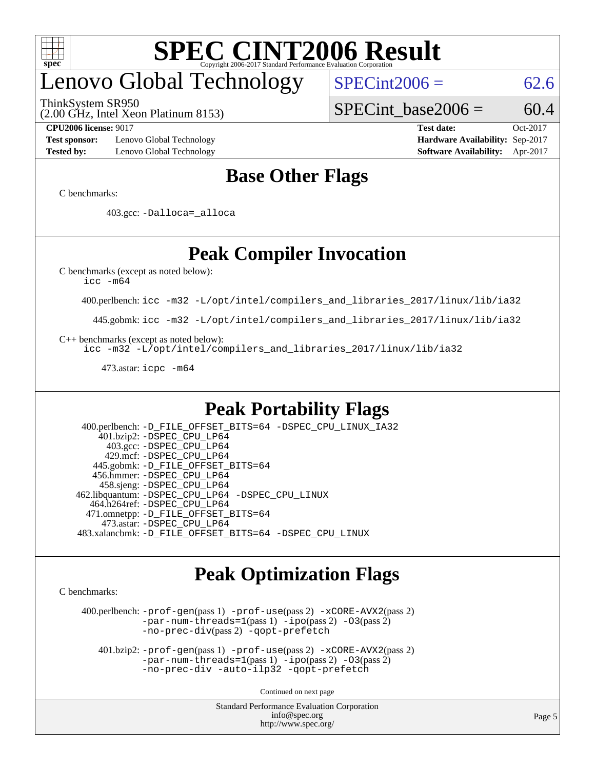

## enovo Global Technology

ThinkSystem SR950

 $SPECint2006 = 62.6$  $SPECint2006 = 62.6$ 

(2.00 GHz, Intel Xeon Platinum 8153)

SPECint base2006 =  $60.4$ 

**[Test sponsor:](http://www.spec.org/auto/cpu2006/Docs/result-fields.html#Testsponsor)** Lenovo Global Technology **[Hardware Availability:](http://www.spec.org/auto/cpu2006/Docs/result-fields.html#HardwareAvailability)** Sep-2017 **[Tested by:](http://www.spec.org/auto/cpu2006/Docs/result-fields.html#Testedby)** Lenovo Global Technology **[Software Availability:](http://www.spec.org/auto/cpu2006/Docs/result-fields.html#SoftwareAvailability)** Apr-2017

**[CPU2006 license:](http://www.spec.org/auto/cpu2006/Docs/result-fields.html#CPU2006license)** 9017 **[Test date:](http://www.spec.org/auto/cpu2006/Docs/result-fields.html#Testdate)** Oct-2017

#### **[Base Other Flags](http://www.spec.org/auto/cpu2006/Docs/result-fields.html#BaseOtherFlags)**

[C benchmarks](http://www.spec.org/auto/cpu2006/Docs/result-fields.html#Cbenchmarks):

403.gcc: [-Dalloca=\\_alloca](http://www.spec.org/cpu2006/results/res2017q4/cpu2006-20171211-51063.flags.html#b403.gcc_baseEXTRA_CFLAGS_Dalloca_be3056838c12de2578596ca5467af7f3)

### **[Peak Compiler Invocation](http://www.spec.org/auto/cpu2006/Docs/result-fields.html#PeakCompilerInvocation)**

[C benchmarks \(except as noted below\)](http://www.spec.org/auto/cpu2006/Docs/result-fields.html#Cbenchmarksexceptasnotedbelow):

[icc -m64](http://www.spec.org/cpu2006/results/res2017q4/cpu2006-20171211-51063.flags.html#user_CCpeak_intel_icc_64bit_bda6cc9af1fdbb0edc3795bac97ada53)

400.perlbench: [icc -m32 -L/opt/intel/compilers\\_and\\_libraries\\_2017/linux/lib/ia32](http://www.spec.org/cpu2006/results/res2017q4/cpu2006-20171211-51063.flags.html#user_peakCCLD400_perlbench_intel_icc_c29f3ff5a7ed067b11e4ec10a03f03ae)

445.gobmk: [icc -m32 -L/opt/intel/compilers\\_and\\_libraries\\_2017/linux/lib/ia32](http://www.spec.org/cpu2006/results/res2017q4/cpu2006-20171211-51063.flags.html#user_peakCCLD445_gobmk_intel_icc_c29f3ff5a7ed067b11e4ec10a03f03ae)

[C++ benchmarks \(except as noted below\):](http://www.spec.org/auto/cpu2006/Docs/result-fields.html#CXXbenchmarksexceptasnotedbelow)

[icc -m32 -L/opt/intel/compilers\\_and\\_libraries\\_2017/linux/lib/ia32](http://www.spec.org/cpu2006/results/res2017q4/cpu2006-20171211-51063.flags.html#user_CXXpeak_intel_icc_c29f3ff5a7ed067b11e4ec10a03f03ae)

473.astar: [icpc -m64](http://www.spec.org/cpu2006/results/res2017q4/cpu2006-20171211-51063.flags.html#user_peakCXXLD473_astar_intel_icpc_64bit_fc66a5337ce925472a5c54ad6a0de310)

#### **[Peak Portability Flags](http://www.spec.org/auto/cpu2006/Docs/result-fields.html#PeakPortabilityFlags)**

 400.perlbench: [-D\\_FILE\\_OFFSET\\_BITS=64](http://www.spec.org/cpu2006/results/res2017q4/cpu2006-20171211-51063.flags.html#user_peakPORTABILITY400_perlbench_file_offset_bits_64_438cf9856305ebd76870a2c6dc2689ab) [-DSPEC\\_CPU\\_LINUX\\_IA32](http://www.spec.org/cpu2006/results/res2017q4/cpu2006-20171211-51063.flags.html#b400.perlbench_peakCPORTABILITY_DSPEC_CPU_LINUX_IA32) 401.bzip2: [-DSPEC\\_CPU\\_LP64](http://www.spec.org/cpu2006/results/res2017q4/cpu2006-20171211-51063.flags.html#suite_peakPORTABILITY401_bzip2_DSPEC_CPU_LP64) 403.gcc: [-DSPEC\\_CPU\\_LP64](http://www.spec.org/cpu2006/results/res2017q4/cpu2006-20171211-51063.flags.html#suite_peakPORTABILITY403_gcc_DSPEC_CPU_LP64) 429.mcf: [-DSPEC\\_CPU\\_LP64](http://www.spec.org/cpu2006/results/res2017q4/cpu2006-20171211-51063.flags.html#suite_peakPORTABILITY429_mcf_DSPEC_CPU_LP64) 445.gobmk: [-D\\_FILE\\_OFFSET\\_BITS=64](http://www.spec.org/cpu2006/results/res2017q4/cpu2006-20171211-51063.flags.html#user_peakPORTABILITY445_gobmk_file_offset_bits_64_438cf9856305ebd76870a2c6dc2689ab) 456.hmmer: [-DSPEC\\_CPU\\_LP64](http://www.spec.org/cpu2006/results/res2017q4/cpu2006-20171211-51063.flags.html#suite_peakPORTABILITY456_hmmer_DSPEC_CPU_LP64) 458.sjeng: [-DSPEC\\_CPU\\_LP64](http://www.spec.org/cpu2006/results/res2017q4/cpu2006-20171211-51063.flags.html#suite_peakPORTABILITY458_sjeng_DSPEC_CPU_LP64) 462.libquantum: [-DSPEC\\_CPU\\_LP64](http://www.spec.org/cpu2006/results/res2017q4/cpu2006-20171211-51063.flags.html#suite_peakPORTABILITY462_libquantum_DSPEC_CPU_LP64) [-DSPEC\\_CPU\\_LINUX](http://www.spec.org/cpu2006/results/res2017q4/cpu2006-20171211-51063.flags.html#b462.libquantum_peakCPORTABILITY_DSPEC_CPU_LINUX) 464.h264ref: [-DSPEC\\_CPU\\_LP64](http://www.spec.org/cpu2006/results/res2017q4/cpu2006-20171211-51063.flags.html#suite_peakPORTABILITY464_h264ref_DSPEC_CPU_LP64) 471.omnetpp: [-D\\_FILE\\_OFFSET\\_BITS=64](http://www.spec.org/cpu2006/results/res2017q4/cpu2006-20171211-51063.flags.html#user_peakPORTABILITY471_omnetpp_file_offset_bits_64_438cf9856305ebd76870a2c6dc2689ab) 473.astar: [-DSPEC\\_CPU\\_LP64](http://www.spec.org/cpu2006/results/res2017q4/cpu2006-20171211-51063.flags.html#suite_peakPORTABILITY473_astar_DSPEC_CPU_LP64) 483.xalancbmk: [-D\\_FILE\\_OFFSET\\_BITS=64](http://www.spec.org/cpu2006/results/res2017q4/cpu2006-20171211-51063.flags.html#user_peakPORTABILITY483_xalancbmk_file_offset_bits_64_438cf9856305ebd76870a2c6dc2689ab) [-DSPEC\\_CPU\\_LINUX](http://www.spec.org/cpu2006/results/res2017q4/cpu2006-20171211-51063.flags.html#b483.xalancbmk_peakCXXPORTABILITY_DSPEC_CPU_LINUX)

#### **[Peak Optimization Flags](http://www.spec.org/auto/cpu2006/Docs/result-fields.html#PeakOptimizationFlags)**

[C benchmarks](http://www.spec.org/auto/cpu2006/Docs/result-fields.html#Cbenchmarks):

 400.perlbench: [-prof-gen](http://www.spec.org/cpu2006/results/res2017q4/cpu2006-20171211-51063.flags.html#user_peakPASS1_CFLAGSPASS1_LDCFLAGS400_perlbench_prof_gen_e43856698f6ca7b7e442dfd80e94a8fc)(pass 1) [-prof-use](http://www.spec.org/cpu2006/results/res2017q4/cpu2006-20171211-51063.flags.html#user_peakPASS2_CFLAGSPASS2_LDCFLAGS400_perlbench_prof_use_bccf7792157ff70d64e32fe3e1250b55)(pass 2) [-xCORE-AVX2](http://www.spec.org/cpu2006/results/res2017q4/cpu2006-20171211-51063.flags.html#user_peakPASS2_CFLAGSPASS2_LDCFLAGS400_perlbench_f-xCORE-AVX2)(pass 2) [-par-num-threads=1](http://www.spec.org/cpu2006/results/res2017q4/cpu2006-20171211-51063.flags.html#user_peakPASS1_CFLAGSPASS1_LDCFLAGS400_perlbench_par_num_threads_786a6ff141b4e9e90432e998842df6c2)(pass 1) [-ipo](http://www.spec.org/cpu2006/results/res2017q4/cpu2006-20171211-51063.flags.html#user_peakPASS2_CFLAGSPASS2_LDCFLAGS400_perlbench_f-ipo)(pass 2) [-O3](http://www.spec.org/cpu2006/results/res2017q4/cpu2006-20171211-51063.flags.html#user_peakPASS2_CFLAGSPASS2_LDCFLAGS400_perlbench_f-O3)(pass 2) [-no-prec-div](http://www.spec.org/cpu2006/results/res2017q4/cpu2006-20171211-51063.flags.html#user_peakPASS2_CFLAGSPASS2_LDCFLAGS400_perlbench_f-no-prec-div)(pass 2) [-qopt-prefetch](http://www.spec.org/cpu2006/results/res2017q4/cpu2006-20171211-51063.flags.html#user_peakCOPTIMIZE400_perlbench_f-qopt-prefetch)

 401.bzip2: [-prof-gen](http://www.spec.org/cpu2006/results/res2017q4/cpu2006-20171211-51063.flags.html#user_peakPASS1_CFLAGSPASS1_LDCFLAGS401_bzip2_prof_gen_e43856698f6ca7b7e442dfd80e94a8fc)(pass 1) [-prof-use](http://www.spec.org/cpu2006/results/res2017q4/cpu2006-20171211-51063.flags.html#user_peakPASS2_CFLAGSPASS2_LDCFLAGS401_bzip2_prof_use_bccf7792157ff70d64e32fe3e1250b55)(pass 2) [-xCORE-AVX2](http://www.spec.org/cpu2006/results/res2017q4/cpu2006-20171211-51063.flags.html#user_peakPASS2_CFLAGSPASS2_LDCFLAGS401_bzip2_f-xCORE-AVX2)(pass 2)  $-par-num-threads=1(pass 1) -ipo(pass 2) -O3(pass 2)$  $-par-num-threads=1(pass 1) -ipo(pass 2) -O3(pass 2)$  $-par-num-threads=1(pass 1) -ipo(pass 2) -O3(pass 2)$  $-par-num-threads=1(pass 1) -ipo(pass 2) -O3(pass 2)$  $-par-num-threads=1(pass 1) -ipo(pass 2) -O3(pass 2)$  $-par-num-threads=1(pass 1) -ipo(pass 2) -O3(pass 2)$ [-no-prec-div](http://www.spec.org/cpu2006/results/res2017q4/cpu2006-20171211-51063.flags.html#user_peakCOPTIMIZEPASS2_CFLAGSPASS2_LDCFLAGS401_bzip2_f-no-prec-div) [-auto-ilp32](http://www.spec.org/cpu2006/results/res2017q4/cpu2006-20171211-51063.flags.html#user_peakCOPTIMIZE401_bzip2_f-auto-ilp32) [-qopt-prefetch](http://www.spec.org/cpu2006/results/res2017q4/cpu2006-20171211-51063.flags.html#user_peakCOPTIMIZE401_bzip2_f-qopt-prefetch)

Continued on next page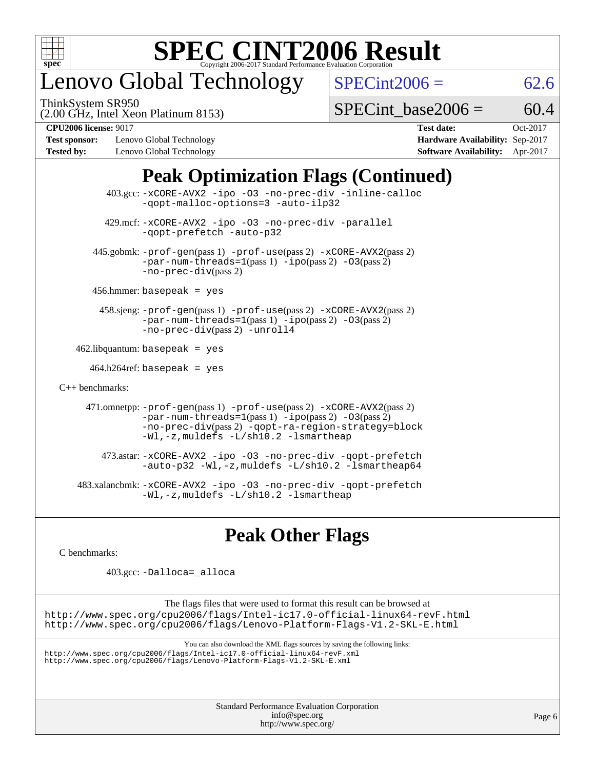

# enovo Global Technology

ThinkSystem SR950

 $SPECint2006 = 62.6$  $SPECint2006 = 62.6$ 

(2.00 GHz, Intel Xeon Platinum 8153)

[SPECint\\_base2006 =](http://www.spec.org/auto/cpu2006/Docs/result-fields.html#SPECintbase2006)  $60.4$ 

**[Test sponsor:](http://www.spec.org/auto/cpu2006/Docs/result-fields.html#Testsponsor)** Lenovo Global Technology **[Hardware Availability:](http://www.spec.org/auto/cpu2006/Docs/result-fields.html#HardwareAvailability)** Sep-2017 **[Tested by:](http://www.spec.org/auto/cpu2006/Docs/result-fields.html#Testedby)** Lenovo Global Technology **[Software Availability:](http://www.spec.org/auto/cpu2006/Docs/result-fields.html#SoftwareAvailability)** Apr-2017

**[CPU2006 license:](http://www.spec.org/auto/cpu2006/Docs/result-fields.html#CPU2006license)** 9017 **[Test date:](http://www.spec.org/auto/cpu2006/Docs/result-fields.html#Testdate)** Oct-2017

### **[Peak Optimization Flags \(Continued\)](http://www.spec.org/auto/cpu2006/Docs/result-fields.html#PeakOptimizationFlags)**

|                                   | $403.\text{sec}: -x \text{CORE-AVX2}$ -ipo -03 -no-prec-div -inline-calloc<br>-qopt-malloc-options=3 -auto-ilp32                                                                                                              |
|-----------------------------------|-------------------------------------------------------------------------------------------------------------------------------------------------------------------------------------------------------------------------------|
|                                   | 429.mcf: -xCORE-AVX2 -ipo -03 -no-prec-div -parallel<br>-gopt-prefetch -auto-p32                                                                                                                                              |
|                                   | 445.gobmk: -prof-gen(pass 1) -prof-use(pass 2) -xCORE-AVX2(pass 2)<br>$-par-num-threads=1(pass 1) -ipo(pass 2) -03(pass 2)$<br>$-no-prec-div(pass 2)$                                                                         |
|                                   | $456.$ hmmer: basepeak = yes                                                                                                                                                                                                  |
|                                   | 458.sjeng: -prof-gen(pass 1) -prof-use(pass 2) -xCORE-AVX2(pass 2)<br>$-par-num-threads=1(pass 1) -ipo(pass 2) -03(pass 2)$<br>-no-prec-div(pass 2) -unroll4                                                                  |
| $462$ .libquantum: basepeak = yes |                                                                                                                                                                                                                               |
|                                   | $464.h264$ ref: basepeak = yes                                                                                                                                                                                                |
| $C_{++}$ benchmarks:              |                                                                                                                                                                                                                               |
|                                   | 471.omnetpp: -prof-gen(pass 1) -prof-use(pass 2) -xCORE-AVX2(pass 2)<br>$-par-num-threads=1(pass 1) -ipo(pass 2) -03(pass 2)$<br>-no-prec-div(pass 2) -qopt-ra-region-strategy=block<br>-Wl,-z, muldefs -L/sh10.2 -lsmartheap |
|                                   | 473.astar: -xCORE-AVX2 -ipo -03 -no-prec-div -qopt-prefetch<br>$-$ auto-p32 -Wl,-z, muldefs -L/sh10.2 -lsmartheap64                                                                                                           |
|                                   | 483.xalancbmk: -xCORE-AVX2 -ipo -03 -no-prec-div -qopt-prefetch<br>$-Wl$ ,-z, muldefs $-L/\nabla L$ .2 -lsmartheap                                                                                                            |

### **[Peak Other Flags](http://www.spec.org/auto/cpu2006/Docs/result-fields.html#PeakOtherFlags)**

[C benchmarks](http://www.spec.org/auto/cpu2006/Docs/result-fields.html#Cbenchmarks):

403.gcc: [-Dalloca=\\_alloca](http://www.spec.org/cpu2006/results/res2017q4/cpu2006-20171211-51063.flags.html#b403.gcc_peakEXTRA_CFLAGS_Dalloca_be3056838c12de2578596ca5467af7f3)

The flags files that were used to format this result can be browsed at <http://www.spec.org/cpu2006/flags/Intel-ic17.0-official-linux64-revF.html> <http://www.spec.org/cpu2006/flags/Lenovo-Platform-Flags-V1.2-SKL-E.html>

You can also download the XML flags sources by saving the following links:

<http://www.spec.org/cpu2006/flags/Intel-ic17.0-official-linux64-revF.xml> <http://www.spec.org/cpu2006/flags/Lenovo-Platform-Flags-V1.2-SKL-E.xml>